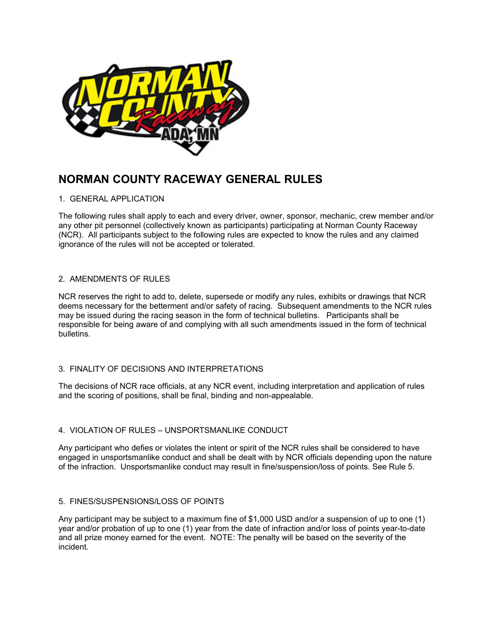

# **NORMAN COUNTY RACEWAY GENERAL RULES**

# 1. GENERAL APPLICATION

The following rules shall apply to each and every driver, owner, sponsor, mechanic, crew member and/or any other pit personnel (collectively known as participants) participating at Norman County Raceway (NCR). All participants subject to the following rules are expected to know the rules and any claimed ignorance of the rules will not be accepted or tolerated.

# 2. AMENDMENTS OF RULES

NCR reserves the right to add to, delete, supersede or modify any rules, exhibits or drawings that NCR deems necessary for the betterment and/or safety of racing. Subsequent amendments to the NCR rules may be issued during the racing season in the form of technical bulletins. Participants shall be responsible for being aware of and complying with all such amendments issued in the form of technical bulletins.

# 3. FINALITY OF DECISIONS AND INTERPRETATIONS

The decisions of NCR race officials, at any NCR event, including interpretation and application of rules and the scoring of positions, shall be final, binding and non-appealable.

# 4. VIOLATION OF RULES – UNSPORTSMANLIKE CONDUCT

Any participant who defies or violates the intent or spirit of the NCR rules shall be considered to have engaged in unsportsmanlike conduct and shall be dealt with by NCR officials depending upon the nature of the infraction. Unsportsmanlike conduct may result in fine/suspension/loss of points. See Rule 5.

# 5. FINES/SUSPENSIONS/LOSS OF POINTS

Any participant may be subject to a maximum fine of \$1,000 USD and/or a suspension of up to one (1) year and/or probation of up to one (1) year from the date of infraction and/or loss of points year-to-date and all prize money earned for the event. NOTE: The penalty will be based on the severity of the incident.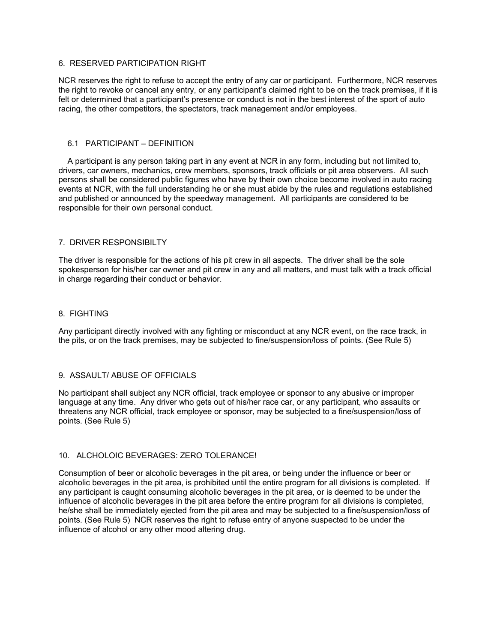## 6. RESERVED PARTICIPATION RIGHT

NCR reserves the right to refuse to accept the entry of any car or participant. Furthermore, NCR reserves the right to revoke or cancel any entry, or any participant's claimed right to be on the track premises, if it is felt or determined that a participant's presence or conduct is not in the best interest of the sport of auto racing, the other competitors, the spectators, track management and/or employees.

## 6.1 PARTICIPANT – DEFINITION

 A participant is any person taking part in any event at NCR in any form, including but not limited to, drivers, car owners, mechanics, crew members, sponsors, track officials or pit area observers. All such persons shall be considered public figures who have by their own choice become involved in auto racing events at NCR, with the full understanding he or she must abide by the rules and regulations established and published or announced by the speedway management. All participants are considered to be responsible for their own personal conduct.

## 7. DRIVER RESPONSIBILTY

The driver is responsible for the actions of his pit crew in all aspects. The driver shall be the sole spokesperson for his/her car owner and pit crew in any and all matters, and must talk with a track official in charge regarding their conduct or behavior.

## 8. FIGHTING

Any participant directly involved with any fighting or misconduct at any NCR event, on the race track, in the pits, or on the track premises, may be subjected to fine/suspension/loss of points. (See Rule 5)

# 9. ASSAULT/ ABUSE OF OFFICIALS

No participant shall subject any NCR official, track employee or sponsor to any abusive or improper language at any time. Any driver who gets out of his/her race car, or any participant, who assaults or threatens any NCR official, track employee or sponsor, may be subjected to a fine/suspension/loss of points. (See Rule 5)

## 10. ALCHOLOIC BEVERAGES: ZERO TOLERANCE!

Consumption of beer or alcoholic beverages in the pit area, or being under the influence or beer or alcoholic beverages in the pit area, is prohibited until the entire program for all divisions is completed. If any participant is caught consuming alcoholic beverages in the pit area, or is deemed to be under the influence of alcoholic beverages in the pit area before the entire program for all divisions is completed, he/she shall be immediately ejected from the pit area and may be subjected to a fine/suspension/loss of points. (See Rule 5) NCR reserves the right to refuse entry of anyone suspected to be under the influence of alcohol or any other mood altering drug.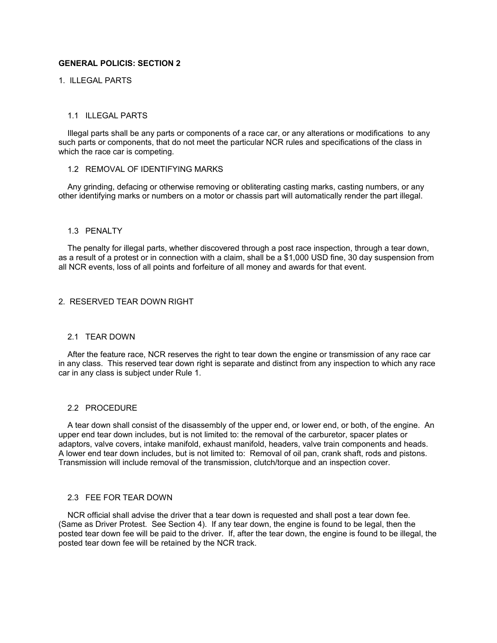## **GENERAL POLICIS: SECTION 2**

# 1. ILLEGAL PARTS

#### 1.1 ILLEGAL PARTS

 Illegal parts shall be any parts or components of a race car, or any alterations or modifications to any such parts or components, that do not meet the particular NCR rules and specifications of the class in which the race car is competing.

## 1.2 REMOVAL OF IDENTIFYING MARKS

 Any grinding, defacing or otherwise removing or obliterating casting marks, casting numbers, or any other identifying marks or numbers on a motor or chassis part will automatically render the part illegal.

#### 1.3 PENALTY

 The penalty for illegal parts, whether discovered through a post race inspection, through a tear down, as a result of a protest or in connection with a claim, shall be a \$1,000 USD fine, 30 day suspension from all NCR events, loss of all points and forfeiture of all money and awards for that event.

#### 2. RESERVED TEAR DOWN RIGHT

#### 2.1 TEAR DOWN

 After the feature race, NCR reserves the right to tear down the engine or transmission of any race car in any class. This reserved tear down right is separate and distinct from any inspection to which any race car in any class is subject under Rule 1.

#### 2.2 PROCEDURE

 A tear down shall consist of the disassembly of the upper end, or lower end, or both, of the engine. An upper end tear down includes, but is not limited to: the removal of the carburetor, spacer plates or adaptors, valve covers, intake manifold, exhaust manifold, headers, valve train components and heads. A lower end tear down includes, but is not limited to: Removal of oil pan, crank shaft, rods and pistons. Transmission will include removal of the transmission, clutch/torque and an inspection cover.

#### 2.3 FEE FOR TEAR DOWN

 NCR official shall advise the driver that a tear down is requested and shall post a tear down fee. (Same as Driver Protest. See Section 4). If any tear down, the engine is found to be legal, then the posted tear down fee will be paid to the driver. If, after the tear down, the engine is found to be illegal, the posted tear down fee will be retained by the NCR track.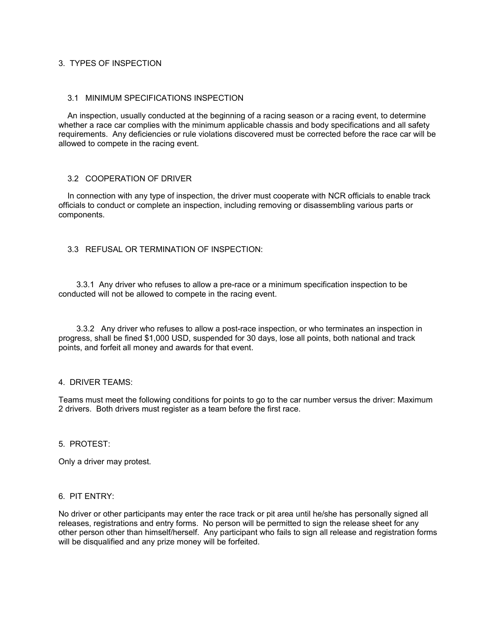# 3. TYPES OF INSPECTION

# 3.1 MINIMUM SPECIFICATIONS INSPECTION

 An inspection, usually conducted at the beginning of a racing season or a racing event, to determine whether a race car complies with the minimum applicable chassis and body specifications and all safety requirements. Any deficiencies or rule violations discovered must be corrected before the race car will be allowed to compete in the racing event.

## 3.2 COOPERATION OF DRIVER

 In connection with any type of inspection, the driver must cooperate with NCR officials to enable track officials to conduct or complete an inspection, including removing or disassembling various parts or components.

# 3.3 REFUSAL OR TERMINATION OF INSPECTION:

 3.3.1 Any driver who refuses to allow a pre-race or a minimum specification inspection to be conducted will not be allowed to compete in the racing event.

 3.3.2 Any driver who refuses to allow a post-race inspection, or who terminates an inspection in progress, shall be fined \$1,000 USD, suspended for 30 days, lose all points, both national and track points, and forfeit all money and awards for that event.

#### 4. DRIVER TEAMS:

Teams must meet the following conditions for points to go to the car number versus the driver: Maximum 2 drivers. Both drivers must register as a team before the first race.

#### 5. PROTEST:

Only a driver may protest.

#### 6. PIT ENTRY:

No driver or other participants may enter the race track or pit area until he/she has personally signed all releases, registrations and entry forms. No person will be permitted to sign the release sheet for any other person other than himself/herself. Any participant who fails to sign all release and registration forms will be disqualified and any prize money will be forfeited.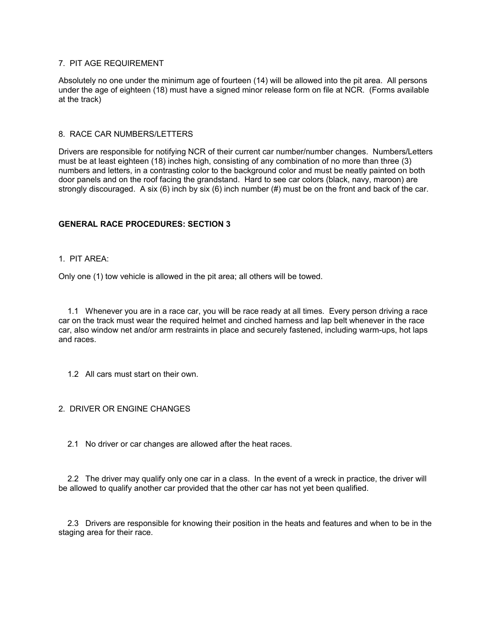## 7. PIT AGE REQUIREMENT

Absolutely no one under the minimum age of fourteen (14) will be allowed into the pit area. All persons under the age of eighteen (18) must have a signed minor release form on file at NCR. (Forms available at the track)

## 8. RACE CAR NUMBERS/LETTERS

Drivers are responsible for notifying NCR of their current car number/number changes. Numbers/Letters must be at least eighteen (18) inches high, consisting of any combination of no more than three (3) numbers and letters, in a contrasting color to the background color and must be neatly painted on both door panels and on the roof facing the grandstand. Hard to see car colors (black, navy, maroon) are strongly discouraged. A six (6) inch by six (6) inch number (#) must be on the front and back of the car.

## **GENERAL RACE PROCEDURES: SECTION 3**

## 1. PIT AREA:

Only one (1) tow vehicle is allowed in the pit area; all others will be towed.

 1.1 Whenever you are in a race car, you will be race ready at all times. Every person driving a race car on the track must wear the required helmet and cinched harness and lap belt whenever in the race car, also window net and/or arm restraints in place and securely fastened, including warm-ups, hot laps and races.

1.2 All cars must start on their own.

## 2. DRIVER OR ENGINE CHANGES

2.1 No driver or car changes are allowed after the heat races.

 2.2 The driver may qualify only one car in a class. In the event of a wreck in practice, the driver will be allowed to qualify another car provided that the other car has not yet been qualified.

 2.3 Drivers are responsible for knowing their position in the heats and features and when to be in the staging area for their race.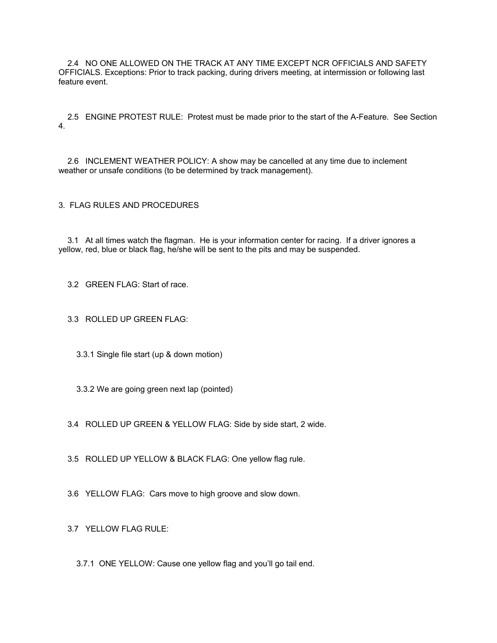2.4 NO ONE ALLOWED ON THE TRACK AT ANY TIME EXCEPT NCR OFFICIALS AND SAFETY OFFICIALS. Exceptions: Prior to track packing, during drivers meeting, at intermission or following last feature event.

 2.5 ENGINE PROTEST RULE: Protest must be made prior to the start of the A-Feature. See Section 4.

 2.6 INCLEMENT WEATHER POLICY: A show may be cancelled at any time due to inclement weather or unsafe conditions (to be determined by track management).

3. FLAG RULES AND PROCEDURES

 3.1 At all times watch the flagman. He is your information center for racing. If a driver ignores a yellow, red, blue or black flag, he/she will be sent to the pits and may be suspended.

3.2 GREEN FLAG: Start of race.

3.3 ROLLED UP GREEN FLAG:

3.3.1 Single file start (up & down motion)

3.3.2 We are going green next lap (pointed)

3.4 ROLLED UP GREEN & YELLOW FLAG: Side by side start, 2 wide.

3.5 ROLLED UP YELLOW & BLACK FLAG: One yellow flag rule.

3.6 YELLOW FLAG: Cars move to high groove and slow down.

3.7 YELLOW FLAG RULE:

3.7.1 ONE YELLOW: Cause one yellow flag and you'll go tail end.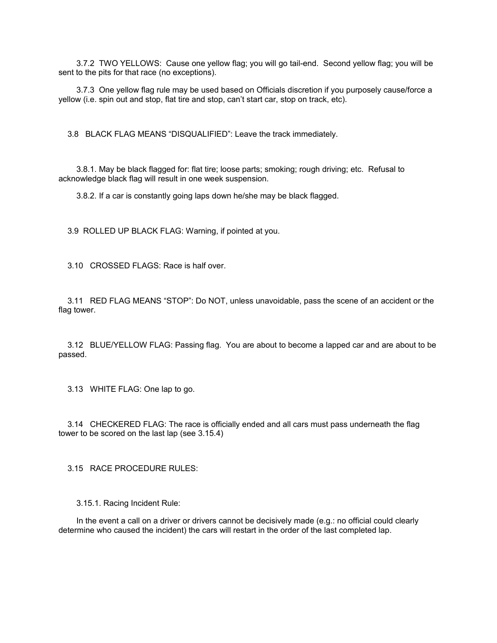3.7.2 TWO YELLOWS: Cause one yellow flag; you will go tail-end. Second yellow flag; you will be sent to the pits for that race (no exceptions).

 3.7.3 One yellow flag rule may be used based on Officials discretion if you purposely cause/force a yellow (i.e. spin out and stop, flat tire and stop, can't start car, stop on track, etc).

3.8 BLACK FLAG MEANS "DISQUALIFIED": Leave the track immediately.

 3.8.1. May be black flagged for: flat tire; loose parts; smoking; rough driving; etc. Refusal to acknowledge black flag will result in one week suspension.

3.8.2. If a car is constantly going laps down he/she may be black flagged.

3.9 ROLLED UP BLACK FLAG: Warning, if pointed at you.

3.10 CROSSED FLAGS: Race is half over.

 3.11 RED FLAG MEANS "STOP": Do NOT, unless unavoidable, pass the scene of an accident or the flag tower.

 3.12 BLUE/YELLOW FLAG: Passing flag. You are about to become a lapped car and are about to be passed.

3.13 WHITE FLAG: One lap to go.

 3.14 CHECKERED FLAG: The race is officially ended and all cars must pass underneath the flag tower to be scored on the last lap (see 3.15.4)

3.15 RACE PROCEDURE RULES:

3.15.1. Racing Incident Rule:

In the event a call on a driver or drivers cannot be decisively made (e.g.: no official could clearly determine who caused the incident) the cars will restart in the order of the last completed lap.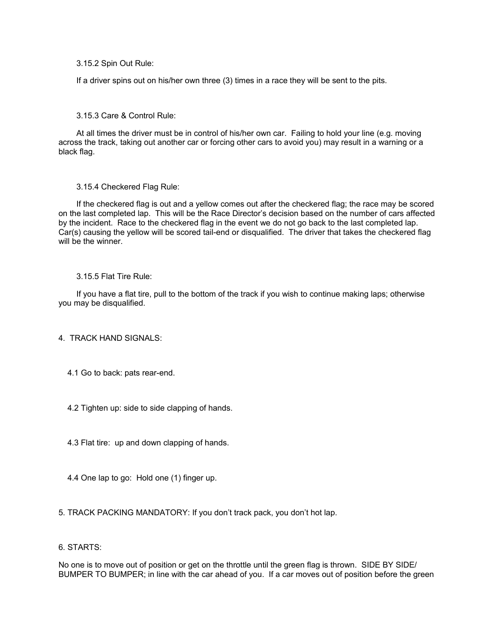3.15.2 Spin Out Rule:

If a driver spins out on his/her own three (3) times in a race they will be sent to the pits.

## 3.15.3 Care & Control Rule:

 At all times the driver must be in control of his/her own car. Failing to hold your line (e.g. moving across the track, taking out another car or forcing other cars to avoid you) may result in a warning or a black flag.

#### 3.15.4 Checkered Flag Rule:

 If the checkered flag is out and a yellow comes out after the checkered flag; the race may be scored on the last completed lap. This will be the Race Director's decision based on the number of cars affected by the incident. Race to the checkered flag in the event we do not go back to the last completed lap. Car(s) causing the yellow will be scored tail-end or disqualified. The driver that takes the checkered flag will be the winner.

#### 3.15.5 Flat Tire Rule:

 If you have a flat tire, pull to the bottom of the track if you wish to continue making laps; otherwise you may be disqualified.

## 4. TRACK HAND SIGNALS:

- 4.1 Go to back: pats rear-end.
- 4.2 Tighten up: side to side clapping of hands.
- 4.3 Flat tire: up and down clapping of hands.
- 4.4 One lap to go: Hold one (1) finger up.
- 5. TRACK PACKING MANDATORY: If you don't track pack, you don't hot lap.

## 6. STARTS:

No one is to move out of position or get on the throttle until the green flag is thrown. SIDE BY SIDE/ BUMPER TO BUMPER; in line with the car ahead of you. If a car moves out of position before the green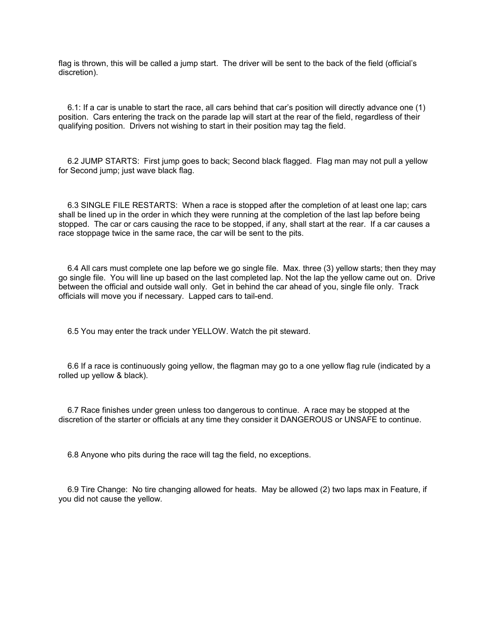flag is thrown, this will be called a jump start. The driver will be sent to the back of the field (official's discretion).

 6.1: If a car is unable to start the race, all cars behind that car's position will directly advance one (1) position. Cars entering the track on the parade lap will start at the rear of the field, regardless of their qualifying position. Drivers not wishing to start in their position may tag the field.

 6.2 JUMP STARTS: First jump goes to back; Second black flagged. Flag man may not pull a yellow for Second jump; just wave black flag.

 6.3 SINGLE FILE RESTARTS: When a race is stopped after the completion of at least one lap; cars shall be lined up in the order in which they were running at the completion of the last lap before being stopped. The car or cars causing the race to be stopped, if any, shall start at the rear. If a car causes a race stoppage twice in the same race, the car will be sent to the pits.

 6.4 All cars must complete one lap before we go single file. Max. three (3) yellow starts; then they may go single file. You will line up based on the last completed lap. Not the lap the yellow came out on. Drive between the official and outside wall only. Get in behind the car ahead of you, single file only. Track officials will move you if necessary. Lapped cars to tail-end.

6.5 You may enter the track under YELLOW. Watch the pit steward.

 6.6 If a race is continuously going yellow, the flagman may go to a one yellow flag rule (indicated by a rolled up yellow & black).

 6.7 Race finishes under green unless too dangerous to continue. A race may be stopped at the discretion of the starter or officials at any time they consider it DANGEROUS or UNSAFE to continue.

6.8 Anyone who pits during the race will tag the field, no exceptions.

 6.9 Tire Change: No tire changing allowed for heats. May be allowed (2) two laps max in Feature, if you did not cause the yellow.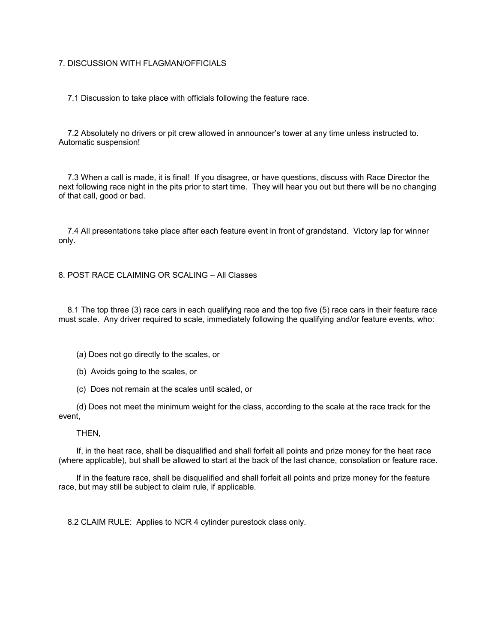## 7. DISCUSSION WITH FLAGMAN/OFFICIALS

7.1 Discussion to take place with officials following the feature race.

 7.2 Absolutely no drivers or pit crew allowed in announcer's tower at any time unless instructed to. Automatic suspension!

 7.3 When a call is made, it is final! If you disagree, or have questions, discuss with Race Director the next following race night in the pits prior to start time. They will hear you out but there will be no changing of that call, good or bad.

 7.4 All presentations take place after each feature event in front of grandstand. Victory lap for winner only.

8. POST RACE CLAIMING OR SCALING – All Classes

 8.1 The top three (3) race cars in each qualifying race and the top five (5) race cars in their feature race must scale. Any driver required to scale, immediately following the qualifying and/or feature events, who:

- (a) Does not go directly to the scales, or
- (b) Avoids going to the scales, or
- (c) Does not remain at the scales until scaled, or

 (d) Does not meet the minimum weight for the class, according to the scale at the race track for the event,

#### THEN,

 If, in the heat race, shall be disqualified and shall forfeit all points and prize money for the heat race (where applicable), but shall be allowed to start at the back of the last chance, consolation or feature race.

 If in the feature race, shall be disqualified and shall forfeit all points and prize money for the feature race, but may still be subject to claim rule, if applicable.

8.2 CLAIM RULE: Applies to NCR 4 cylinder purestock class only.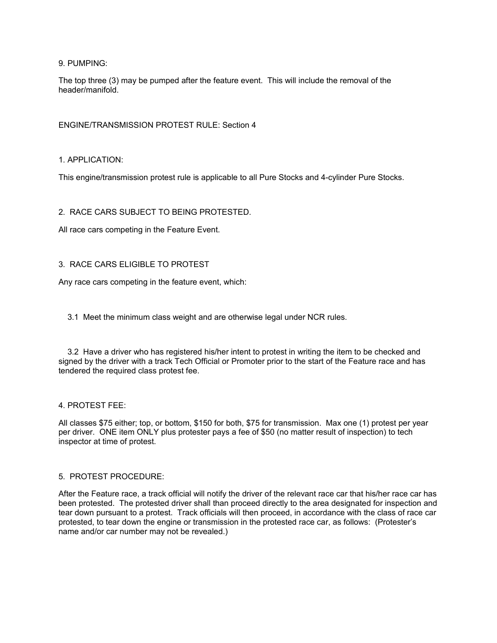9. PUMPING:

The top three (3) may be pumped after the feature event. This will include the removal of the header/manifold.

ENGINE/TRANSMISSION PROTEST RULE: Section 4

1. APPLICATION:

This engine/transmission protest rule is applicable to all Pure Stocks and 4-cylinder Pure Stocks.

# 2. RACE CARS SUBJECT TO BEING PROTESTED.

All race cars competing in the Feature Event.

# 3. RACE CARS ELIGIBLE TO PROTEST

Any race cars competing in the feature event, which:

3.1 Meet the minimum class weight and are otherwise legal under NCR rules.

 3.2 Have a driver who has registered his/her intent to protest in writing the item to be checked and signed by the driver with a track Tech Official or Promoter prior to the start of the Feature race and has tendered the required class protest fee.

## 4. PROTEST FEE:

All classes \$75 either; top, or bottom, \$150 for both, \$75 for transmission. Max one (1) protest per year per driver. ONE item ONLY plus protester pays a fee of \$50 (no matter result of inspection) to tech inspector at time of protest.

## 5. PROTEST PROCEDURE:

After the Feature race, a track official will notify the driver of the relevant race car that his/her race car has been protested. The protested driver shall than proceed directly to the area designated for inspection and tear down pursuant to a protest. Track officials will then proceed, in accordance with the class of race car protested, to tear down the engine or transmission in the protested race car, as follows: (Protester's name and/or car number may not be revealed.)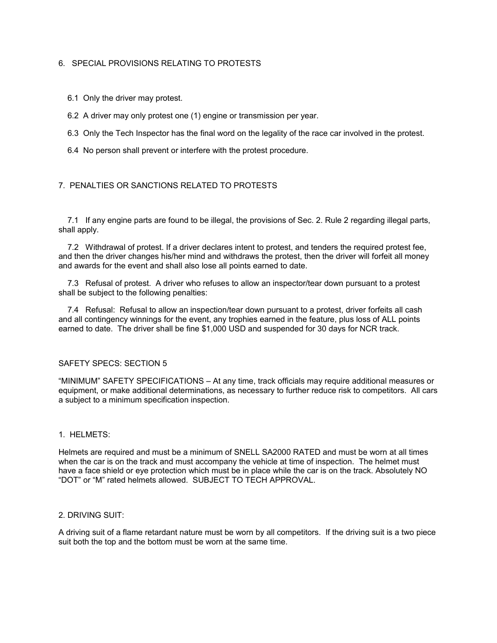# 6. SPECIAL PROVISIONS RELATING TO PROTESTS

6.1 Only the driver may protest.

- 6.2 A driver may only protest one (1) engine or transmission per year.
- 6.3 Only the Tech Inspector has the final word on the legality of the race car involved in the protest.
- 6.4 No person shall prevent or interfere with the protest procedure.

# 7. PENALTIES OR SANCTIONS RELATED TO PROTESTS

 7.1 If any engine parts are found to be illegal, the provisions of Sec. 2. Rule 2 regarding illegal parts, shall apply.

 7.2 Withdrawal of protest. If a driver declares intent to protest, and tenders the required protest fee, and then the driver changes his/her mind and withdraws the protest, then the driver will forfeit all money and awards for the event and shall also lose all points earned to date.

 7.3 Refusal of protest. A driver who refuses to allow an inspector/tear down pursuant to a protest shall be subject to the following penalties:

7.4 Refusal: Refusal to allow an inspection/tear down pursuant to a protest, driver forfeits all cash and all contingency winnings for the event, any trophies earned in the feature, plus loss of ALL points earned to date. The driver shall be fine \$1,000 USD and suspended for 30 days for NCR track.

# SAFETY SPECS: SECTION 5

"MINIMUM" SAFETY SPECIFICATIONS – At any time, track officials may require additional measures or equipment, or make additional determinations, as necessary to further reduce risk to competitors. All cars a subject to a minimum specification inspection.

## 1. HELMETS:

Helmets are required and must be a minimum of SNELL SA2000 RATED and must be worn at all times when the car is on the track and must accompany the vehicle at time of inspection. The helmet must have a face shield or eye protection which must be in place while the car is on the track. Absolutely NO "DOT" or "M" rated helmets allowed. SUBJECT TO TECH APPROVAL.

#### 2. DRIVING SUIT:

A driving suit of a flame retardant nature must be worn by all competitors. If the driving suit is a two piece suit both the top and the bottom must be worn at the same time.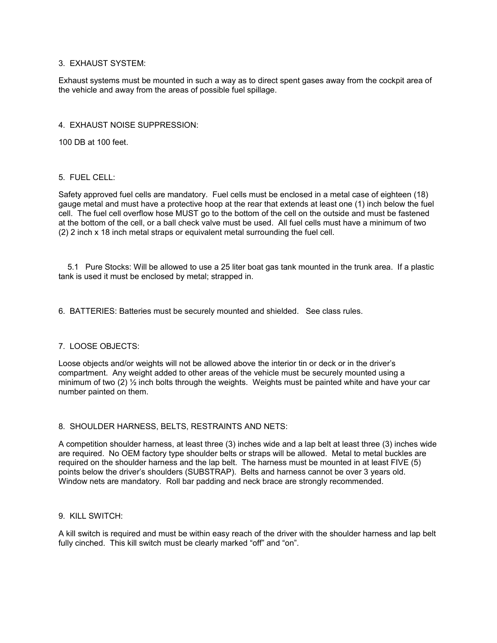## 3. EXHAUST SYSTEM:

Exhaust systems must be mounted in such a way as to direct spent gases away from the cockpit area of the vehicle and away from the areas of possible fuel spillage.

## 4. EXHAUST NOISE SUPPRESSION:

100 DB at 100 feet.

## 5. FUEL CELL:

Safety approved fuel cells are mandatory. Fuel cells must be enclosed in a metal case of eighteen (18) gauge metal and must have a protective hoop at the rear that extends at least one (1) inch below the fuel cell. The fuel cell overflow hose MUST go to the bottom of the cell on the outside and must be fastened at the bottom of the cell, or a ball check valve must be used. All fuel cells must have a minimum of two (2) 2 inch x 18 inch metal straps or equivalent metal surrounding the fuel cell.

 5.1 Pure Stocks: Will be allowed to use a 25 liter boat gas tank mounted in the trunk area. If a plastic tank is used it must be enclosed by metal; strapped in.

6. BATTERIES: Batteries must be securely mounted and shielded. See class rules.

# 7. LOOSE OBJECTS:

Loose objects and/or weights will not be allowed above the interior tin or deck or in the driver's compartment. Any weight added to other areas of the vehicle must be securely mounted using a minimum of two (2)  $\frac{1}{2}$  inch bolts through the weights. Weights must be painted white and have your car number painted on them.

## 8. SHOULDER HARNESS, BELTS, RESTRAINTS AND NETS:

A competition shoulder harness, at least three (3) inches wide and a lap belt at least three (3) inches wide are required. No OEM factory type shoulder belts or straps will be allowed. Metal to metal buckles are required on the shoulder harness and the lap belt. The harness must be mounted in at least FIVE (5) points below the driver's shoulders (SUBSTRAP). Belts and harness cannot be over 3 years old. Window nets are mandatory. Roll bar padding and neck brace are strongly recommended.

## 9. KILL SWITCH:

A kill switch is required and must be within easy reach of the driver with the shoulder harness and lap belt fully cinched. This kill switch must be clearly marked "off" and "on".